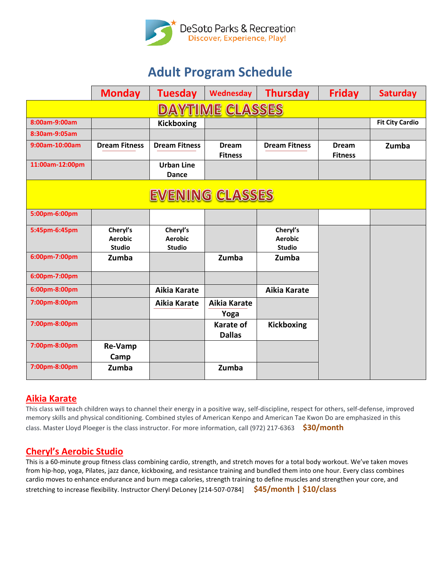

# **Adult Program Schedule**

|                        | <b>Monday</b>                               | <b>Tuesday</b>                              | <b>Wednesday</b>                  | <b>Thursday</b>                             | <b>Friday</b>                  | <b>Saturday</b>        |
|------------------------|---------------------------------------------|---------------------------------------------|-----------------------------------|---------------------------------------------|--------------------------------|------------------------|
| <b>DAYTIME CLASSES</b> |                                             |                                             |                                   |                                             |                                |                        |
| 8:00am-9:00am          |                                             | <b>Kickboxing</b>                           |                                   |                                             |                                | <b>Fit City Cardio</b> |
| 8:30am-9:05am          |                                             |                                             |                                   |                                             |                                |                        |
| 9:00am-10:00am         | <b>Dream Fitness</b>                        | <b>Dream Fitness</b>                        | <b>Dream</b><br><b>Fitness</b>    | <b>Dream Fitness</b>                        | <b>Dream</b><br><b>Fitness</b> | Zumba                  |
| 11:00am-12:00pm        |                                             | <b>Urban Line</b><br>Dance                  |                                   |                                             |                                |                        |
| <b>EVENING CLASSES</b> |                                             |                                             |                                   |                                             |                                |                        |
| 5:00pm-6:00pm          |                                             |                                             |                                   |                                             |                                |                        |
| 5:45pm-6:45pm          | Cheryl's<br><b>Aerobic</b><br><b>Studio</b> | Cheryl's<br><b>Aerobic</b><br><b>Studio</b> |                                   | Cheryl's<br><b>Aerobic</b><br><b>Studio</b> |                                |                        |
| 6:00pm-7:00pm          | Zumba                                       |                                             | Zumba                             | Zumba                                       |                                |                        |
| 6:00pm-7:00pm          |                                             |                                             |                                   |                                             |                                |                        |
| 6:00pm-8:00pm          |                                             | Aikia Karate                                |                                   | Aikia Karate                                |                                |                        |
| 7:00pm-8:00pm          |                                             | Aikia Karate                                | Aikia Karate<br>Yoga              |                                             |                                |                        |
| 7:00pm-8:00pm          |                                             |                                             | <b>Karate of</b><br><b>Dallas</b> | Kickboxing                                  |                                |                        |
| 7:00pm-8:00pm          | <b>Re-Vamp</b><br>Camp                      |                                             |                                   |                                             |                                |                        |
| 7:00pm-8:00pm          | Zumba                                       |                                             | Zumba                             |                                             |                                |                        |

# **Aikia Karate**

This class will teach children ways to channel their energy in a positive way, self-discipline, respect for others, self-defense, improved memory skills and physical conditioning. Combined styles of American Kenpo and American Tae Kwon Do are emphasized in this class. Master Lloyd Ploeger is the class instructor. For more information, call (972) 217-6363 **\$30/month**

# **Cheryl's Aerobic Studio**

This is a 60-minute group fitness class combining cardio, strength, and stretch moves for a total body workout. We've taken moves from hip-hop, yoga, Pilates, jazz dance, kickboxing, and resistance training and bundled them into one hour. Every class combines cardio moves to enhance endurance and burn mega calories, strength training to define muscles and strengthen your core, and stretching to increase flexibility. Instructor Cheryl DeLoney [214-507-0784] **\$45/month | \$10/class**